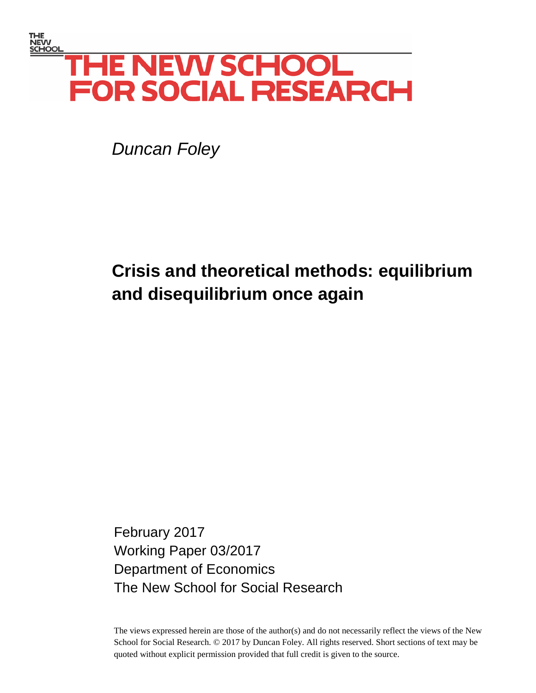# THE<br>NEW<br><u>SCHOOL</u> **THE NEW SCHOOL FOR SOCIAL RESEARCH**

*Duncan Foley*

# **Crisis and theoretical methods: equilibrium and disequilibrium once again**

February 2017 Working Paper 03/2017 Department of Economics The New School for Social Research

The views expressed herein are those of the author(s) and do not necessarily reflect the views of the New School for Social Research. © 2017 by Duncan Foley. All rights reserved. Short sections of text may be quoted without explicit permission provided that full credit is given to the source.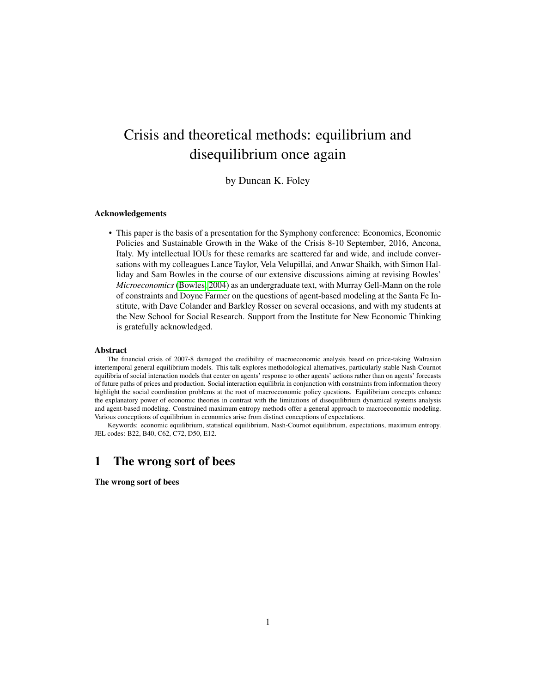# <span id="page-1-0"></span>Crisis and theoretical methods: equilibrium and disequilibrium once again

# by Duncan K. Foley

## Acknowledgements

• This paper is the basis of a presentation for the Symphony conference: Economics, Economic Policies and Sustainable Growth in the Wake of the Crisis 8-10 September, 2016, Ancona, Italy. My intellectual IOUs for these remarks are scattered far and wide, and include conversations with my colleagues Lance Taylor, Vela Velupillai, and Anwar Shaikh, with Simon Halliday and Sam Bowles in the course of our extensive discussions aiming at revising Bowles' *Microeconomics* [\(Bowles, 2004\)](#page-30-0) as an undergraduate text, with Murray Gell-Mann on the role of constraints and Doyne Farmer on the questions of agent-based modeling at the Santa Fe Institute, with Dave Colander and Barkley Rosser on several occasions, and with my students at the New School for Social Research. Support from the Institute for New Economic Thinking is gratefully acknowledged.

#### Abstract

The financial crisis of 2007-8 damaged the credibility of macroeconomic analysis based on price-taking Walrasian intertemporal general equilibrium models. This talk explores methodological alternatives, particularly stable Nash-Cournot equilibria of social interaction models that center on agents' response to other agents' actions rather than on agents' forecasts of future paths of prices and production. Social interaction equilibria in conjunction with constraints from information theory highlight the social coordination problems at the root of macroeconomic policy questions. Equilibrium concepts enhance the explanatory power of economic theories in contrast with the limitations of disequilibrium dynamical systems analysis and agent-based modeling. Constrained maximum entropy methods offer a general approach to macroeconomic modeling. Various conceptions of equilibrium in economics arise from distinct conceptions of expectations.

Keywords: economic equilibrium, statistical equilibrium, Nash-Cournot equilibrium, expectations, maximum entropy. JEL codes: B22, B40, C62, C72, D50, E12.

# 1 The wrong sort of bees

The wrong sort of bees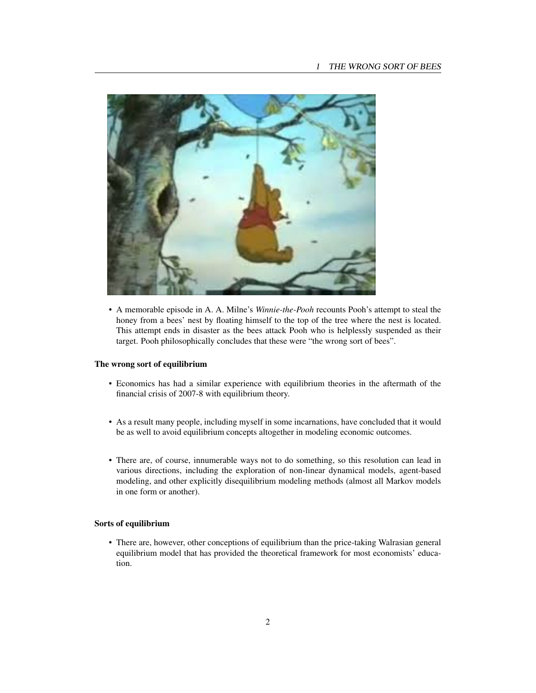

• A memorable episode in A. A. Milne's *Winnie-the-Pooh* recounts Pooh's attempt to steal the honey from a bees' nest by floating himself to the top of the tree where the nest is located. This attempt ends in disaster as the bees attack Pooh who is helplessly suspended as their target. Pooh philosophically concludes that these were "the wrong sort of bees".

## The wrong sort of equilibrium

- Economics has had a similar experience with equilibrium theories in the aftermath of the financial crisis of 2007-8 with equilibrium theory.
- As a result many people, including myself in some incarnations, have concluded that it would be as well to avoid equilibrium concepts altogether in modeling economic outcomes.
- There are, of course, innumerable ways not to do something, so this resolution can lead in various directions, including the exploration of non-linear dynamical models, agent-based modeling, and other explicitly disequilibrium modeling methods (almost all Markov models in one form or another).

# Sorts of equilibrium

• There are, however, other conceptions of equilibrium than the price-taking Walrasian general equilibrium model that has provided the theoretical framework for most economists' education.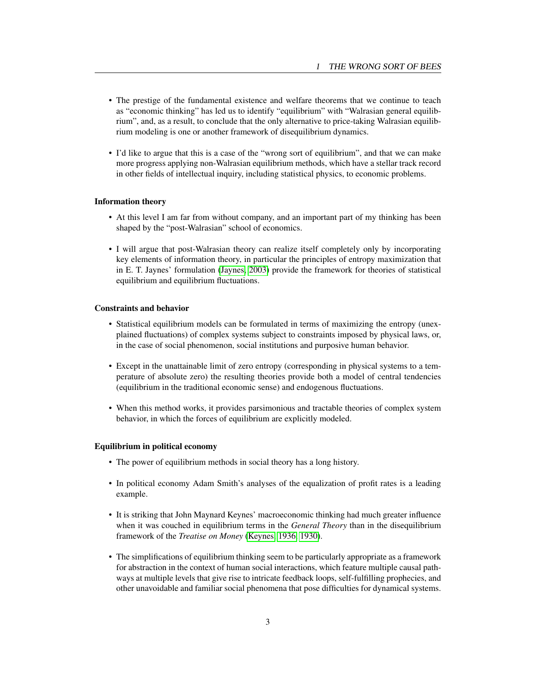- <span id="page-3-0"></span>• The prestige of the fundamental existence and welfare theorems that we continue to teach as "economic thinking" has led us to identify "equilibrium" with "Walrasian general equilibrium", and, as a result, to conclude that the only alternative to price-taking Walrasian equilibrium modeling is one or another framework of disequilibrium dynamics.
- I'd like to argue that this is a case of the "wrong sort of equilibrium", and that we can make more progress applying non-Walrasian equilibrium methods, which have a stellar track record in other fields of intellectual inquiry, including statistical physics, to economic problems.

#### Information theory

- At this level I am far from without company, and an important part of my thinking has been shaped by the "post-Walrasian" school of economics.
- I will argue that post-Walrasian theory can realize itself completely only by incorporating key elements of information theory, in particular the principles of entropy maximization that in E. T. Jaynes' formulation [\(Jaynes, 2003\)](#page-30-1) provide the framework for theories of statistical equilibrium and equilibrium fluctuations.

# Constraints and behavior

- Statistical equilibrium models can be formulated in terms of maximizing the entropy (unexplained fluctuations) of complex systems subject to constraints imposed by physical laws, or, in the case of social phenomenon, social institutions and purposive human behavior.
- Except in the unattainable limit of zero entropy (corresponding in physical systems to a temperature of absolute zero) the resulting theories provide both a model of central tendencies (equilibrium in the traditional economic sense) and endogenous fluctuations.
- When this method works, it provides parsimonious and tractable theories of complex system behavior, in which the forces of equilibrium are explicitly modeled.

# Equilibrium in political economy

- The power of equilibrium methods in social theory has a long history.
- In political economy Adam Smith's analyses of the equalization of profit rates is a leading example.
- It is striking that John Maynard Keynes' macroeconomic thinking had much greater influence when it was couched in equilibrium terms in the *General Theory* than in the disequilibrium framework of the *Treatise on Money* [\(Keynes, 1936,](#page-30-2) [1930\)](#page-30-3).
- The simplifications of equilibrium thinking seem to be particularly appropriate as a framework for abstraction in the context of human social interactions, which feature multiple causal pathways at multiple levels that give rise to intricate feedback loops, self-fulfilling prophecies, and other unavoidable and familiar social phenomena that pose difficulties for dynamical systems.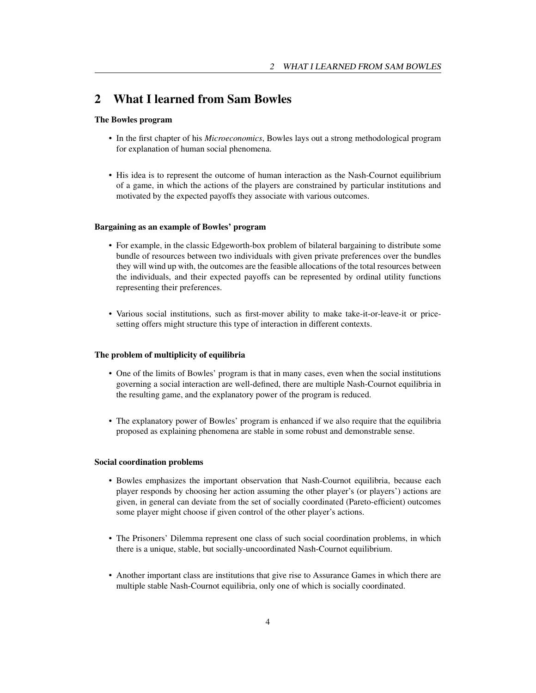# 2 What I learned from Sam Bowles

# The Bowles program

- In the first chapter of his *Microeconomics*, Bowles lays out a strong methodological program for explanation of human social phenomena.
- His idea is to represent the outcome of human interaction as the Nash-Cournot equilibrium of a game, in which the actions of the players are constrained by particular institutions and motivated by the expected payoffs they associate with various outcomes.

# Bargaining as an example of Bowles' program

- For example, in the classic Edgeworth-box problem of bilateral bargaining to distribute some bundle of resources between two individuals with given private preferences over the bundles they will wind up with, the outcomes are the feasible allocations of the total resources between the individuals, and their expected payoffs can be represented by ordinal utility functions representing their preferences.
- Various social institutions, such as first-mover ability to make take-it-or-leave-it or pricesetting offers might structure this type of interaction in different contexts.

#### The problem of multiplicity of equilibria

- One of the limits of Bowles' program is that in many cases, even when the social institutions governing a social interaction are well-defined, there are multiple Nash-Cournot equilibria in the resulting game, and the explanatory power of the program is reduced.
- The explanatory power of Bowles' program is enhanced if we also require that the equilibria proposed as explaining phenomena are stable in some robust and demonstrable sense.

# Social coordination problems

- Bowles emphasizes the important observation that Nash-Cournot equilibria, because each player responds by choosing her action assuming the other player's (or players') actions are given, in general can deviate from the set of socially coordinated (Pareto-efficient) outcomes some player might choose if given control of the other player's actions.
- The Prisoners' Dilemma represent one class of such social coordination problems, in which there is a unique, stable, but socially-uncoordinated Nash-Cournot equilibrium.
- Another important class are institutions that give rise to Assurance Games in which there are multiple stable Nash-Cournot equilibria, only one of which is socially coordinated.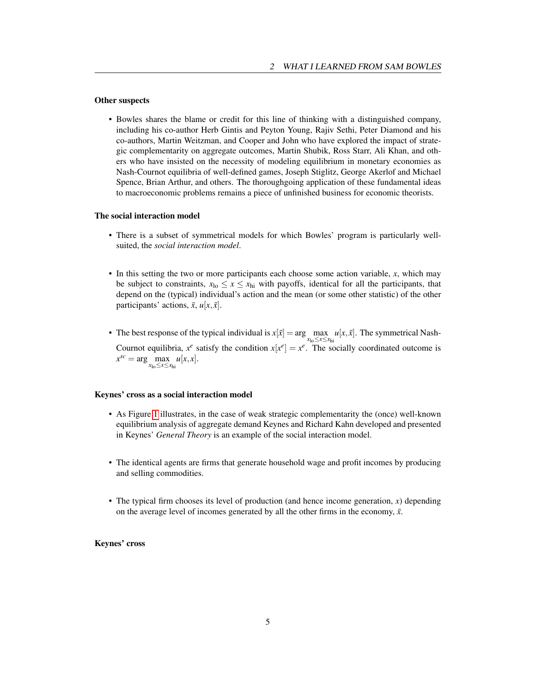# Other suspects

• Bowles shares the blame or credit for this line of thinking with a distinguished company, including his co-author Herb Gintis and Peyton Young, Rajiv Sethi, Peter Diamond and his co-authors, Martin Weitzman, and Cooper and John who have explored the impact of strategic complementarity on aggregate outcomes, Martin Shubik, Ross Starr, Ali Khan, and others who have insisted on the necessity of modeling equilibrium in monetary economies as Nash-Cournot equilibria of well-defined games, Joseph Stiglitz, George Akerlof and Michael Spence, Brian Arthur, and others. The thoroughgoing application of these fundamental ideas to macroeconomic problems remains a piece of unfinished business for economic theorists.

# The social interaction model

- There is a subset of symmetrical models for which Bowles' program is particularly wellsuited, the *social interaction model*.
- In this setting the two or more participants each choose some action variable, *x*, which may be subject to constraints,  $x_{\text{lo}} \le x \le x_{\text{hi}}$  with payoffs, identical for all the participants, that depend on the (typical) individual's action and the mean (or some other statistic) of the other participants' actions,  $\bar{x}$ ,  $u[x, \bar{x}]$ .
- The best response of the typical individual is  $x[\bar{x}] = \arg \max_{x_{lo} \le x \le x_{hi}} u[x, \bar{x}]$ . The symmetrical Nash-Cournot equilibria,  $x^e$  satisfy the condition  $x[x^e] = x^e$ . The socially coordinated outcome is  $x^{sc} = \arg \max_{x_{\text{lo}} \le x \le x_{\text{hi}}} u[x, x].$

#### Keynes' cross as a social interaction model

- As Figure [1](#page-6-0) illustrates, in the case of weak strategic complementarity the (once) well-known equilibrium analysis of aggregate demand Keynes and Richard Kahn developed and presented in Keynes' *General Theory* is an example of the social interaction model.
- The identical agents are firms that generate household wage and profit incomes by producing and selling commodities.
- The typical firm chooses its level of production (and hence income generation, *x*) depending on the average level of incomes generated by all the other firms in the economy,  $\bar{x}$ .

# Keynes' cross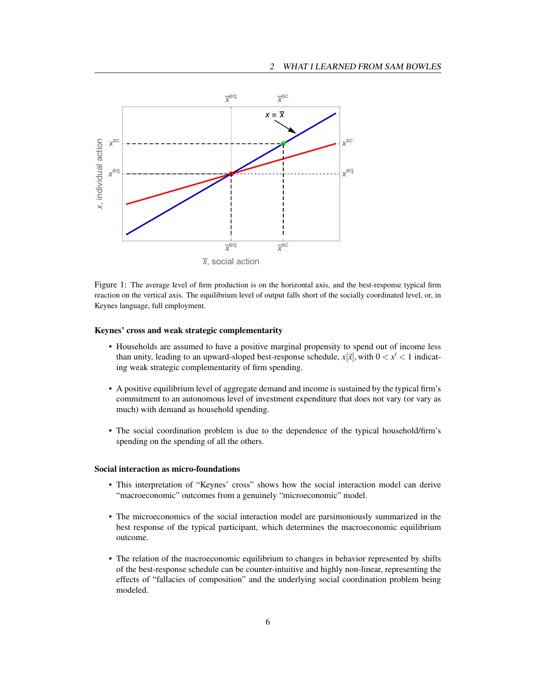#### 2 WHAT I LEARNED FROM SAM BOWLES



<span id="page-6-0"></span>Figure 1: The average level of firm production is on the horizontal axis, and the best-response typical firm reaction on the vertical axis. The equilibrium level of output falls short of the socially coordinated level, or, in Keynes language, full employment.

#### Keynes' cross and weak strategic complementarity

- Households are assumed to have a positive marginal propensity to spend out of income less than unity, leading to an upward-sloped best-response schedule,  $x[\bar{x}]$ , with  $0 < x' < 1$  indicating weak strategic complementarity of firm spending.
- A positive equilibrium level of aggregate demand and income is sustained by the typical firm's commitment to an autonomous level of investment expenditure that does not vary (or vary as much) with demand as household spending.
- The social coordination problem is due to the dependence of the typical household/firm's spending on the spending of all the others.

#### Social interaction as micro-foundations

- This interpretation of "Keynes' cross" shows how the social interaction model can derive "macroeconomic" outcomes from a genuinely "microeconomic" model.
- The microeconomics of the social interaction model are parsimoniously summarized in the best response of the typical participant, which determines the macroeconomic equilibrium outcome.
- The relation of the macroeconomic equilibrium to changes in behavior represented by shifts of the best-response schedule can be counter-intuitive and highly non-linear, representing the effects of "fallacies of composition" and the underlying social coordination problem being modeled.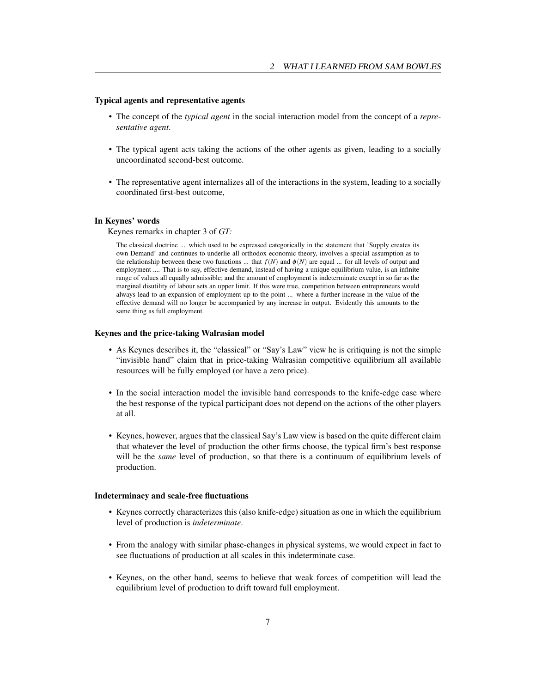# Typical agents and representative agents

- The concept of the *typical agent* in the social interaction model from the concept of a *representative agent*.
- The typical agent acts taking the actions of the other agents as given, leading to a socially uncoordinated second-best outcome.
- The representative agent internalizes all of the interactions in the system, leading to a socially coordinated first-best outcome,

# In Keynes' words

Keynes remarks in chapter 3 of *GT:*

The classical doctrine ... which used to be expressed categorically in the statement that 'Supply creates its own Demand' and continues to underlie all orthodox economic theory, involves a special assumption as to the relationship between these two functions ... that  $f(N)$  and  $\phi(N)$  are equal ... for all levels of output and employment .... That is to say, effective demand, instead of having a unique equilibrium value, is an infinite range of values all equally admissible; and the amount of employment is indeterminate except in so far as the marginal disutility of labour sets an upper limit. If this were true, competition between entrepreneurs would always lead to an expansion of employment up to the point ... where a further increase in the value of the effective demand will no longer be accompanied by any increase in output. Evidently this amounts to the same thing as full employment.

#### Keynes and the price-taking Walrasian model

- As Keynes describes it, the "classical" or "Say's Law" view he is critiquing is not the simple "invisible hand" claim that in price-taking Walrasian competitive equilibrium all available resources will be fully employed (or have a zero price).
- In the social interaction model the invisible hand corresponds to the knife-edge case where the best response of the typical participant does not depend on the actions of the other players at all.
- Keynes, however, argues that the classical Say's Law view is based on the quite different claim that whatever the level of production the other firms choose, the typical firm's best response will be the *same* level of production, so that there is a continuum of equilibrium levels of production.

## Indeterminacy and scale-free fluctuations

- Keynes correctly characterizes this (also knife-edge) situation as one in which the equilibrium level of production is *indeterminate*.
- From the analogy with similar phase-changes in physical systems, we would expect in fact to see fluctuations of production at all scales in this indeterminate case.
- Keynes, on the other hand, seems to believe that weak forces of competition will lead the equilibrium level of production to drift toward full employment.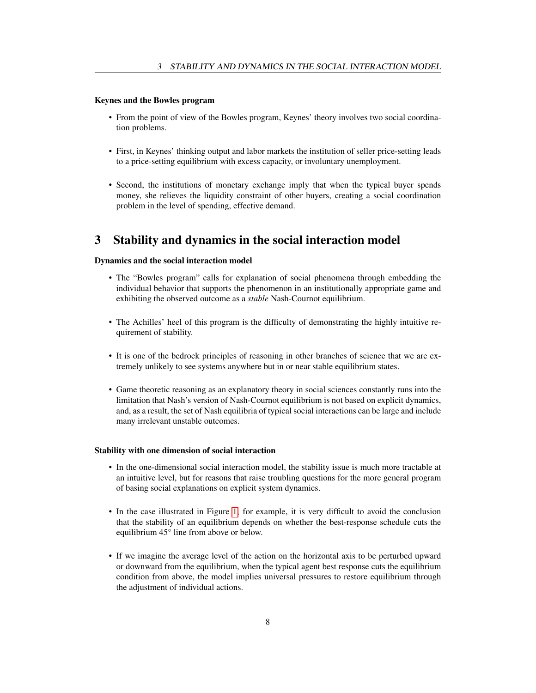# Keynes and the Bowles program

- From the point of view of the Bowles program, Keynes' theory involves two social coordination problems.
- First, in Keynes' thinking output and labor markets the institution of seller price-setting leads to a price-setting equilibrium with excess capacity, or involuntary unemployment.
- Second, the institutions of monetary exchange imply that when the typical buyer spends money, she relieves the liquidity constraint of other buyers, creating a social coordination problem in the level of spending, effective demand.

# 3 Stability and dynamics in the social interaction model

## Dynamics and the social interaction model

- The "Bowles program" calls for explanation of social phenomena through embedding the individual behavior that supports the phenomenon in an institutionally appropriate game and exhibiting the observed outcome as a *stable* Nash-Cournot equilibrium.
- The Achilles' heel of this program is the difficulty of demonstrating the highly intuitive requirement of stability.
- It is one of the bedrock principles of reasoning in other branches of science that we are extremely unlikely to see systems anywhere but in or near stable equilibrium states.
- Game theoretic reasoning as an explanatory theory in social sciences constantly runs into the limitation that Nash's version of Nash-Cournot equilibrium is not based on explicit dynamics, and, as a result, the set of Nash equilibria of typical social interactions can be large and include many irrelevant unstable outcomes.

## Stability with one dimension of social interaction

- In the one-dimensional social interaction model, the stability issue is much more tractable at an intuitive level, but for reasons that raise troubling questions for the more general program of basing social explanations on explicit system dynamics.
- In the case illustrated in Figure [1,](#page-6-0) for example, it is very difficult to avoid the conclusion that the stability of an equilibrium depends on whether the best-response schedule cuts the equilibrium 45° line from above or below.
- If we imagine the average level of the action on the horizontal axis to be perturbed upward or downward from the equilibrium, when the typical agent best response cuts the equilibrium condition from above, the model implies universal pressures to restore equilibrium through the adjustment of individual actions.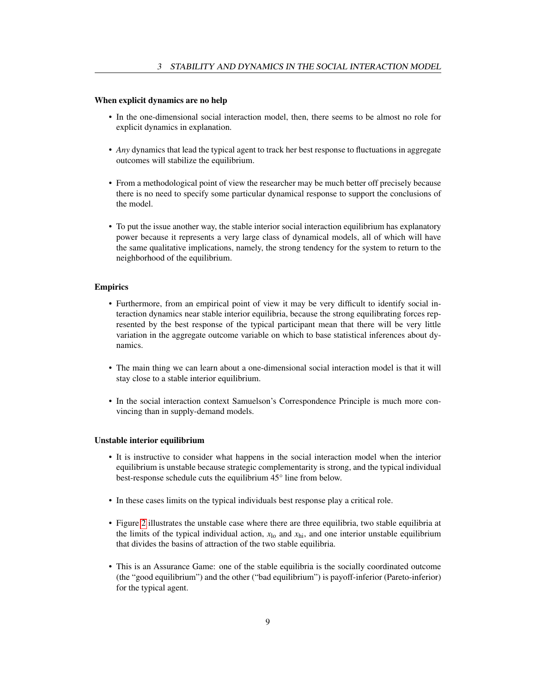# When explicit dynamics are no help

- In the one-dimensional social interaction model, then, there seems to be almost no role for explicit dynamics in explanation.
- *Any* dynamics that lead the typical agent to track her best response to fluctuations in aggregate outcomes will stabilize the equilibrium.
- From a methodological point of view the researcher may be much better off precisely because there is no need to specify some particular dynamical response to support the conclusions of the model.
- To put the issue another way, the stable interior social interaction equilibrium has explanatory power because it represents a very large class of dynamical models, all of which will have the same qualitative implications, namely, the strong tendency for the system to return to the neighborhood of the equilibrium.

# Empirics

- Furthermore, from an empirical point of view it may be very difficult to identify social interaction dynamics near stable interior equilibria, because the strong equilibrating forces represented by the best response of the typical participant mean that there will be very little variation in the aggregate outcome variable on which to base statistical inferences about dynamics.
- The main thing we can learn about a one-dimensional social interaction model is that it will stay close to a stable interior equilibrium.
- In the social interaction context Samuelson's Correspondence Principle is much more convincing than in supply-demand models.

## Unstable interior equilibrium

- It is instructive to consider what happens in the social interaction model when the interior equilibrium is unstable because strategic complementarity is strong, and the typical individual best-response schedule cuts the equilibrium 45° line from below.
- In these cases limits on the typical individuals best response play a critical role.
- Figure [2](#page-10-0) illustrates the unstable case where there are three equilibria, two stable equilibria at the limits of the typical individual action, *x*lo and *x*hi, and one interior unstable equilibrium that divides the basins of attraction of the two stable equilibria.
- This is an Assurance Game: one of the stable equilibria is the socially coordinated outcome (the "good equilibrium") and the other ("bad equilibrium") is payoff-inferior (Pareto-inferior) for the typical agent.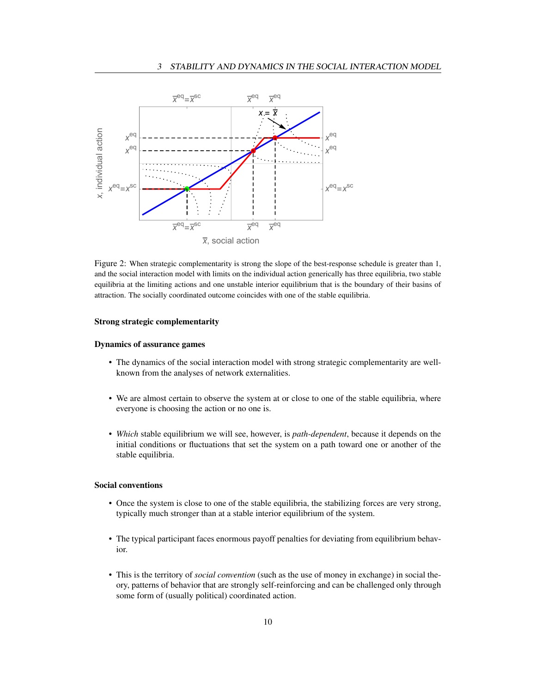

<span id="page-10-0"></span>Figure 2: When strategic complementarity is strong the slope of the best-response schedule is greater than 1, and the social interaction model with limits on the individual action generically has three equilibria, two stable equilibria at the limiting actions and one unstable interior equilibrium that is the boundary of their basins of attraction. The socially coordinated outcome coincides with one of the stable equilibria.

# Strong strategic complementarity

## Dynamics of assurance games

- The dynamics of the social interaction model with strong strategic complementarity are wellknown from the analyses of network externalities.
- We are almost certain to observe the system at or close to one of the stable equilibria, where everyone is choosing the action or no one is.
- *Which* stable equilibrium we will see, however, is *path-dependent*, because it depends on the initial conditions or fluctuations that set the system on a path toward one or another of the stable equilibria.

# Social conventions

- Once the system is close to one of the stable equilibria, the stabilizing forces are very strong, typically much stronger than at a stable interior equilibrium of the system.
- The typical participant faces enormous payoff penalties for deviating from equilibrium behavior.
- This is the territory of *social convention* (such as the use of money in exchange) in social theory, patterns of behavior that are strongly self-reinforcing and can be challenged only through some form of (usually political) coordinated action.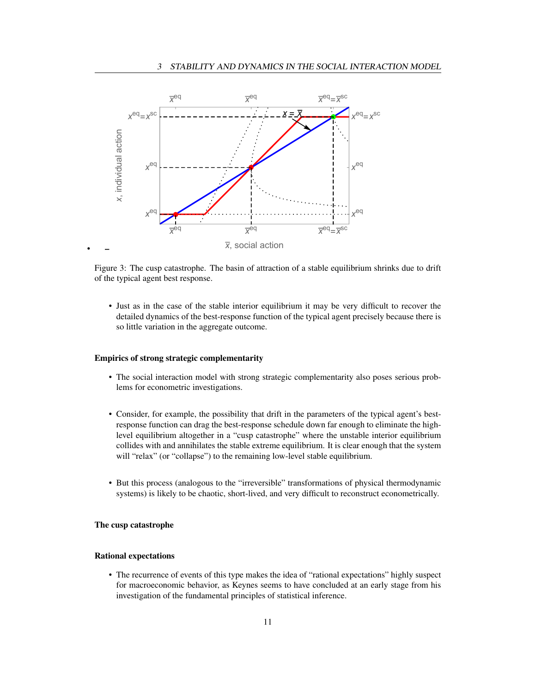

Figure 3: The cusp catastrophe. The basin of attraction of a stable equilibrium shrinks due to drift of the typical agent best response.

• Just as in the case of the stable interior equilibrium it may be very difficult to recover the detailed dynamics of the best-response function of the typical agent precisely because there is so little variation in the aggregate outcome.

# Empirics of strong strategic complementarity

- The social interaction model with strong strategic complementarity also poses serious problems for econometric investigations.
- Consider, for example, the possibility that drift in the parameters of the typical agent's bestresponse function can drag the best-response schedule down far enough to eliminate the highlevel equilibrium altogether in a "cusp catastrophe" where the unstable interior equilibrium collides with and annihilates the stable extreme equilibrium. It is clear enough that the system will "relax" (or "collapse") to the remaining low-level stable equilibrium.
- But this process (analogous to the "irreversible" transformations of physical thermodynamic systems) is likely to be chaotic, short-lived, and very difficult to reconstruct econometrically.

# The cusp catastrophe

#### Rational expectations

• The recurrence of events of this type makes the idea of "rational expectations" highly suspect for macroeconomic behavior, as Keynes seems to have concluded at an early stage from his investigation of the fundamental principles of statistical inference.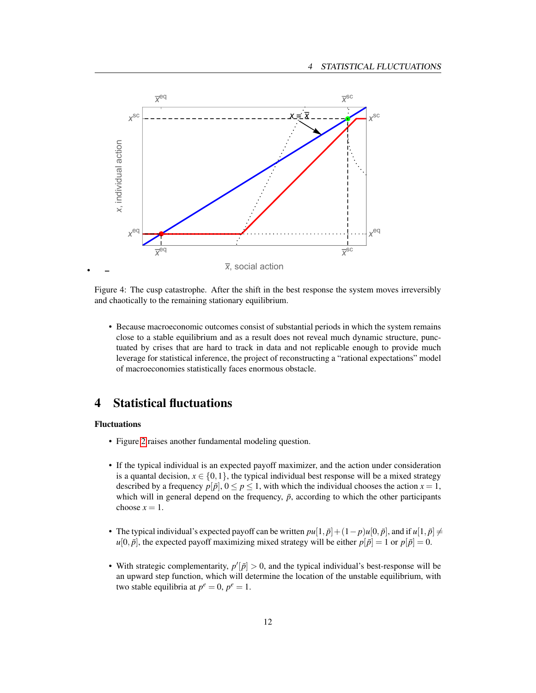

Figure 4: The cusp catastrophe. After the shift in the best response the system moves irreversibly and chaotically to the remaining stationary equilibrium.

• Because macroeconomic outcomes consist of substantial periods in which the system remains close to a stable equilibrium and as a result does not reveal much dynamic structure, punctuated by crises that are hard to track in data and not replicable enough to provide much leverage for statistical inference, the project of reconstructing a "rational expectations" model of macroeconomies statistically faces enormous obstacle.

# 4 Statistical fluctuations

#### Fluctuations

- Figure [2](#page-10-0) raises another fundamental modeling question.
- If the typical individual is an expected payoff maximizer, and the action under consideration is a quantal decision,  $x \in \{0,1\}$ , the typical individual best response will be a mixed strategy described by a frequency  $p[\bar{p}], 0 \le p \le 1$ , with which the individual chooses the action  $x = 1$ , which will in general depend on the frequency,  $\bar{p}$ , according to which the other participants choose  $x = 1$ .
- The typical individual's expected payoff can be written  $pu[1, \bar{p}] + (1-p)u[0, \bar{p}]$ , and if  $u[1, \bar{p}] \neq$  $u[0, \bar{p}]$ , the expected payoff maximizing mixed strategy will be either  $p[\bar{p}] = 1$  or  $p[\bar{p}] = 0$ .
- With strategic complementarity,  $p'[\bar{p}] > 0$ , and the typical individual's best-response will be an upward step function, which will determine the location of the unstable equilibrium, with two stable equilibria at  $p^e = 0$ ,  $p^e = 1$ .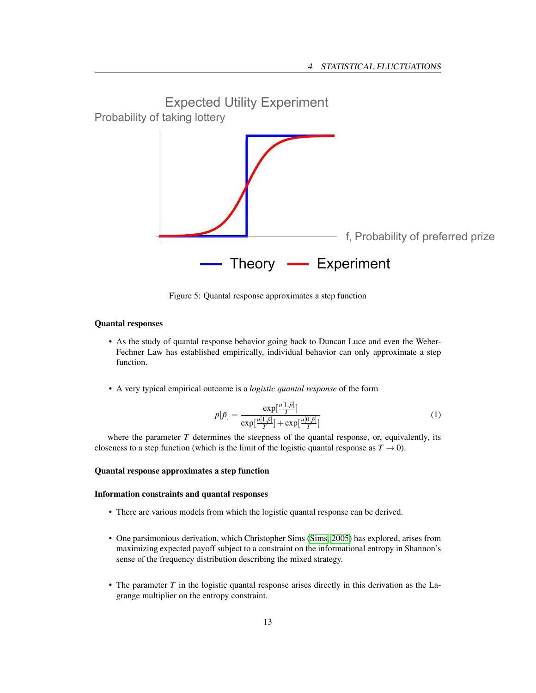<span id="page-13-0"></span>

Figure 5: Quantal response approximates a step function

# Quantal responses

• As the study of quantal response behavior going back to Duncan Luce and even the Weber-Fechner Law has established empirically, individual behavior can only approximate a step function.

*u*[1,*p*¯]

• A very typical empirical outcome is a *logistic quantal response* of the form

$$
p[\bar{p}] = \frac{\exp[\frac{u[1,p]}{T}]}{\exp[\frac{u[1,p]}{T}]+\exp[\frac{u[0,p]}{T}]} \tag{1}
$$

where the parameter *T* determines the steepness of the quantal response, or, equivalently, its closeness to a step function (which is the limit of the logistic quantal response as  $T \to 0$ ).

# Quantal response approximates a step function

# Information constraints and quantal responses

- There are various models from which the logistic quantal response can be derived.
- One parsimonious derivation, which Christopher Sims [\(Sims, 2005\)](#page-30-4) has explored, arises from maximizing expected payoff subject to a constraint on the informational entropy in Shannon's sense of the frequency distribution describing the mixed strategy.
- The parameter *T* in the logistic quantal response arises directly in this derivation as the Lagrange multiplier on the entropy constraint.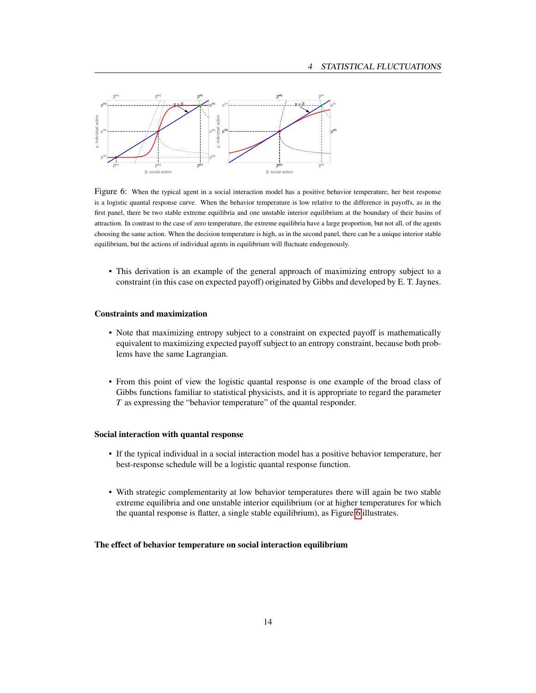

<span id="page-14-0"></span>Figure 6: When the typical agent in a social interaction model has a positive behavior temperature, her best response is a logistic quantal response curve. When the behavior temperature is low relative to the difference in payoffs, as in the first panel, there be two stable extreme equilibria and one unstable interior equilibrium at the boundary of their basins of attraction. In contrast to the case of zero temperature, the extreme equilibria have a large proportion, but not all, of the agents choosing the same action. When the decision temperature is high, as in the second panel, there can be a unique interior stable equilibrium, but the actions of individual agents in equilibrium will fluctuate endogenously.

• This derivation is an example of the general approach of maximizing entropy subject to a constraint (in this case on expected payoff) originated by Gibbs and developed by E. T. Jaynes.

#### Constraints and maximization

- Note that maximizing entropy subject to a constraint on expected payoff is mathematically equivalent to maximizing expected payoff subject to an entropy constraint, because both problems have the same Lagrangian.
- From this point of view the logistic quantal response is one example of the broad class of Gibbs functions familiar to statistical physicists, and it is appropriate to regard the parameter *T* as expressing the "behavior temperature" of the quantal responder.

#### Social interaction with quantal response

- If the typical individual in a social interaction model has a positive behavior temperature, her best-response schedule will be a logistic quantal response function.
- With strategic complementarity at low behavior temperatures there will again be two stable extreme equilibria and one unstable interior equilibrium (or at higher temperatures for which the quantal response is flatter, a single stable equilibrium), as Figure [6](#page-14-0) illustrates.

#### The effect of behavior temperature on social interaction equilibrium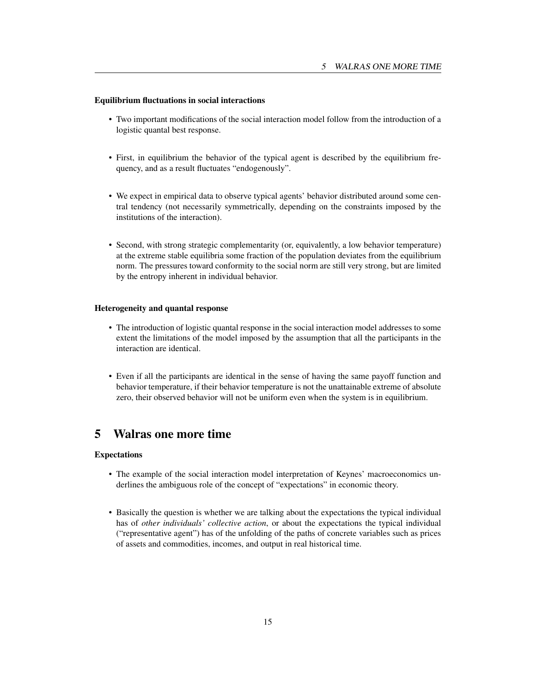# Equilibrium fluctuations in social interactions

- Two important modifications of the social interaction model follow from the introduction of a logistic quantal best response.
- First, in equilibrium the behavior of the typical agent is described by the equilibrium frequency, and as a result fluctuates "endogenously".
- We expect in empirical data to observe typical agents' behavior distributed around some central tendency (not necessarily symmetrically, depending on the constraints imposed by the institutions of the interaction).
- Second, with strong strategic complementarity (or, equivalently, a low behavior temperature) at the extreme stable equilibria some fraction of the population deviates from the equilibrium norm. The pressures toward conformity to the social norm are still very strong, but are limited by the entropy inherent in individual behavior.

# Heterogeneity and quantal response

- The introduction of logistic quantal response in the social interaction model addresses to some extent the limitations of the model imposed by the assumption that all the participants in the interaction are identical.
- Even if all the participants are identical in the sense of having the same payoff function and behavior temperature, if their behavior temperature is not the unattainable extreme of absolute zero, their observed behavior will not be uniform even when the system is in equilibrium.

# 5 Walras one more time

# Expectations

- The example of the social interaction model interpretation of Keynes' macroeconomics underlines the ambiguous role of the concept of "expectations" in economic theory.
- Basically the question is whether we are talking about the expectations the typical individual has of *other individuals' collective action*, or about the expectations the typical individual ("representative agent") has of the unfolding of the paths of concrete variables such as prices of assets and commodities, incomes, and output in real historical time.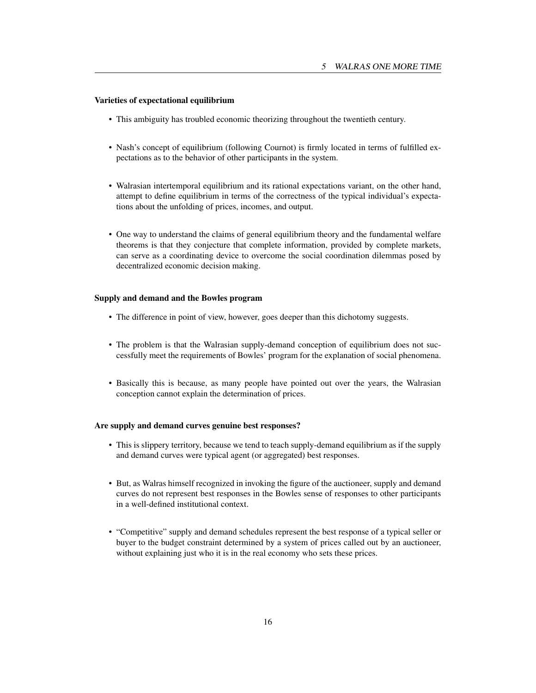# Varieties of expectational equilibrium

- This ambiguity has troubled economic theorizing throughout the twentieth century.
- Nash's concept of equilibrium (following Cournot) is firmly located in terms of fulfilled expectations as to the behavior of other participants in the system.
- Walrasian intertemporal equilibrium and its rational expectations variant, on the other hand, attempt to define equilibrium in terms of the correctness of the typical individual's expectations about the unfolding of prices, incomes, and output.
- One way to understand the claims of general equilibrium theory and the fundamental welfare theorems is that they conjecture that complete information, provided by complete markets, can serve as a coordinating device to overcome the social coordination dilemmas posed by decentralized economic decision making.

#### Supply and demand and the Bowles program

- The difference in point of view, however, goes deeper than this dichotomy suggests.
- The problem is that the Walrasian supply-demand conception of equilibrium does not successfully meet the requirements of Bowles' program for the explanation of social phenomena.
- Basically this is because, as many people have pointed out over the years, the Walrasian conception cannot explain the determination of prices.

#### Are supply and demand curves genuine best responses?

- This is slippery territory, because we tend to teach supply-demand equilibrium as if the supply and demand curves were typical agent (or aggregated) best responses.
- But, as Walras himself recognized in invoking the figure of the auctioneer, supply and demand curves do not represent best responses in the Bowles sense of responses to other participants in a well-defined institutional context.
- "Competitive" supply and demand schedules represent the best response of a typical seller or buyer to the budget constraint determined by a system of prices called out by an auctioneer, without explaining just who it is in the real economy who sets these prices.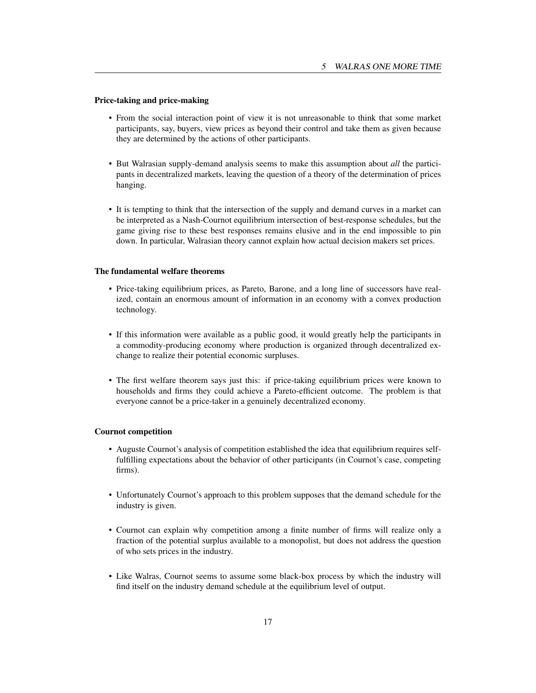# Price-taking and price-making

- From the social interaction point of view it is not unreasonable to think that some market participants, say, buyers, view prices as beyond their control and take them as given because they are determined by the actions of other participants.
- But Walrasian supply-demand analysis seems to make this assumption about *all* the participants in decentralized markets, leaving the question of a theory of the determination of prices hanging.
- It is tempting to think that the intersection of the supply and demand curves in a market can be interpreted as a Nash-Cournot equilibrium intersection of best-response schedules, but the game giving rise to these best responses remains elusive and in the end impossible to pin down. In particular, Walrasian theory cannot explain how actual decision makers set prices.

# The fundamental welfare theorems

- Price-taking equilibrium prices, as Pareto, Barone, and a long line of successors have realized, contain an enormous amount of information in an economy with a convex production technology.
- If this information were available as a public good, it would greatly help the participants in a commodity-producing economy where production is organized through decentralized exchange to realize their potential economic surpluses.
- The first welfare theorem says just this: if price-taking equilibrium prices were known to households and firms they could achieve a Pareto-efficient outcome. The problem is that everyone cannot be a price-taker in a genuinely decentralized economy.

# Cournot competition

- Auguste Cournot's analysis of competition established the idea that equilibrium requires selffulfilling expectations about the behavior of other participants (in Cournot's case, competing firms).
- Unfortunately Cournot's approach to this problem supposes that the demand schedule for the industry is given.
- Cournot can explain why competition among a finite number of firms will realize only a fraction of the potential surplus available to a monopolist, but does not address the question of who sets prices in the industry.
- Like Walras, Cournot seems to assume some black-box process by which the industry will find itself on the industry demand schedule at the equilibrium level of output.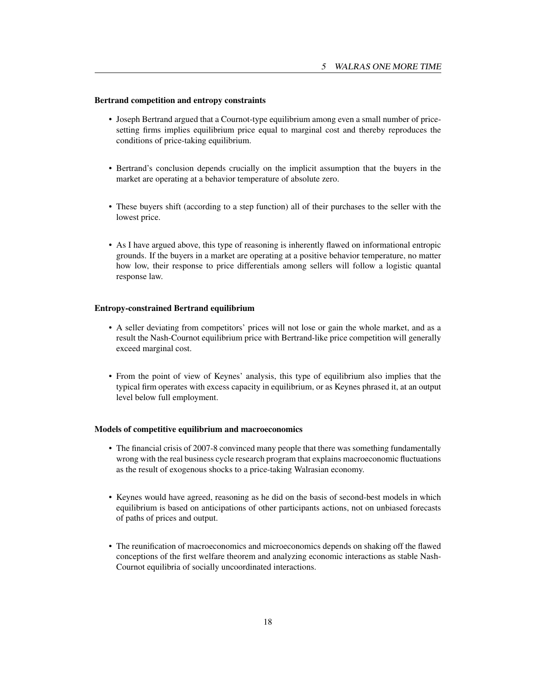# Bertrand competition and entropy constraints

- Joseph Bertrand argued that a Cournot-type equilibrium among even a small number of pricesetting firms implies equilibrium price equal to marginal cost and thereby reproduces the conditions of price-taking equilibrium.
- Bertrand's conclusion depends crucially on the implicit assumption that the buyers in the market are operating at a behavior temperature of absolute zero.
- These buyers shift (according to a step function) all of their purchases to the seller with the lowest price.
- As I have argued above, this type of reasoning is inherently flawed on informational entropic grounds. If the buyers in a market are operating at a positive behavior temperature, no matter how low, their response to price differentials among sellers will follow a logistic quantal response law.

# Entropy-constrained Bertrand equilibrium

- A seller deviating from competitors' prices will not lose or gain the whole market, and as a result the Nash-Cournot equilibrium price with Bertrand-like price competition will generally exceed marginal cost.
- From the point of view of Keynes' analysis, this type of equilibrium also implies that the typical firm operates with excess capacity in equilibrium, or as Keynes phrased it, at an output level below full employment.

## Models of competitive equilibrium and macroeconomics

- The financial crisis of 2007-8 convinced many people that there was something fundamentally wrong with the real business cycle research program that explains macroeconomic fluctuations as the result of exogenous shocks to a price-taking Walrasian economy.
- Keynes would have agreed, reasoning as he did on the basis of second-best models in which equilibrium is based on anticipations of other participants actions, not on unbiased forecasts of paths of prices and output.
- The reunification of macroeconomics and microeconomics depends on shaking off the flawed conceptions of the first welfare theorem and analyzing economic interactions as stable Nash-Cournot equilibria of socially uncoordinated interactions.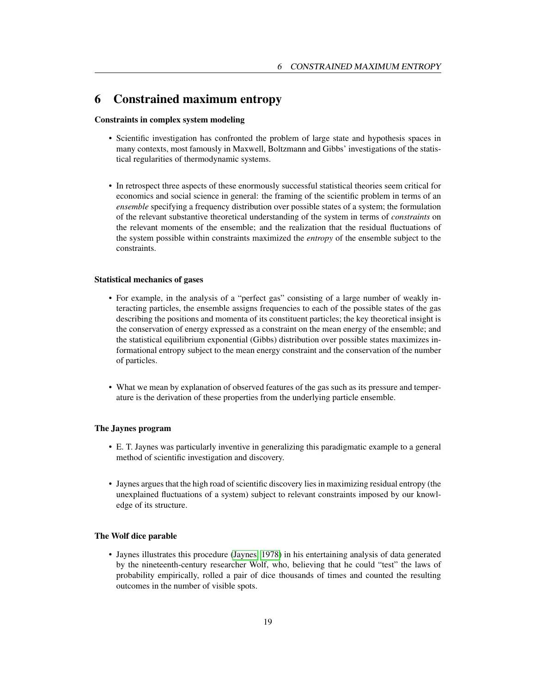# <span id="page-19-0"></span>6 Constrained maximum entropy

# Constraints in complex system modeling

- Scientific investigation has confronted the problem of large state and hypothesis spaces in many contexts, most famously in Maxwell, Boltzmann and Gibbs' investigations of the statistical regularities of thermodynamic systems.
- In retrospect three aspects of these enormously successful statistical theories seem critical for economics and social science in general: the framing of the scientific problem in terms of an *ensemble* specifying a frequency distribution over possible states of a system; the formulation of the relevant substantive theoretical understanding of the system in terms of *constraints* on the relevant moments of the ensemble; and the realization that the residual fluctuations of the system possible within constraints maximized the *entropy* of the ensemble subject to the constraints.

## Statistical mechanics of gases

- For example, in the analysis of a "perfect gas" consisting of a large number of weakly interacting particles, the ensemble assigns frequencies to each of the possible states of the gas describing the positions and momenta of its constituent particles; the key theoretical insight is the conservation of energy expressed as a constraint on the mean energy of the ensemble; and the statistical equilibrium exponential (Gibbs) distribution over possible states maximizes informational entropy subject to the mean energy constraint and the conservation of the number of particles.
- What we mean by explanation of observed features of the gas such as its pressure and temperature is the derivation of these properties from the underlying particle ensemble.

# The Jaynes program

- E. T. Jaynes was particularly inventive in generalizing this paradigmatic example to a general method of scientific investigation and discovery.
- Jaynes argues that the high road of scientific discovery lies in maximizing residual entropy (the unexplained fluctuations of a system) subject to relevant constraints imposed by our knowledge of its structure.

#### The Wolf dice parable

• Jaynes illustrates this procedure [\(Jaynes, 1978\)](#page-30-5) in his entertaining analysis of data generated by the nineteenth-century researcher Wolf, who, believing that he could "test" the laws of probability empirically, rolled a pair of dice thousands of times and counted the resulting outcomes in the number of visible spots.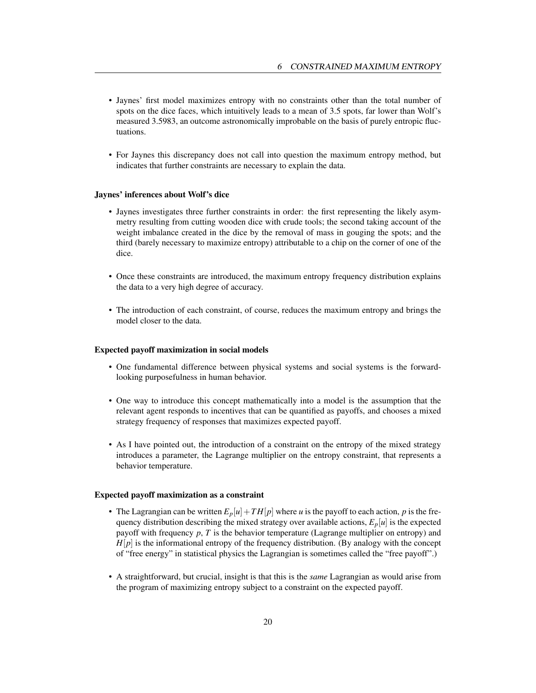- Jaynes' first model maximizes entropy with no constraints other than the total number of spots on the dice faces, which intuitively leads to a mean of 3.5 spots, far lower than Wolf's measured 3.5983, an outcome astronomically improbable on the basis of purely entropic fluctuations.
- For Jaynes this discrepancy does not call into question the maximum entropy method, but indicates that further constraints are necessary to explain the data.

#### Jaynes' inferences about Wolf's dice

- Jaynes investigates three further constraints in order: the first representing the likely asymmetry resulting from cutting wooden dice with crude tools; the second taking account of the weight imbalance created in the dice by the removal of mass in gouging the spots; and the third (barely necessary to maximize entropy) attributable to a chip on the corner of one of the dice.
- Once these constraints are introduced, the maximum entropy frequency distribution explains the data to a very high degree of accuracy.
- The introduction of each constraint, of course, reduces the maximum entropy and brings the model closer to the data.

#### Expected payoff maximization in social models

- One fundamental difference between physical systems and social systems is the forwardlooking purposefulness in human behavior.
- One way to introduce this concept mathematically into a model is the assumption that the relevant agent responds to incentives that can be quantified as payoffs, and chooses a mixed strategy frequency of responses that maximizes expected payoff.
- As I have pointed out, the introduction of a constraint on the entropy of the mixed strategy introduces a parameter, the Lagrange multiplier on the entropy constraint, that represents a behavior temperature.

#### Expected payoff maximization as a constraint

- The Lagrangian can be written  $E_p[u]+TH[p]$  where *u* is the payoff to each action, *p* is the frequency distribution describing the mixed strategy over available actions,  $E_p[u]$  is the expected payoff with frequency *p*, *T* is the behavior temperature (Lagrange multiplier on entropy) and  $H[p]$  is the informational entropy of the frequency distribution. (By analogy with the concept of "free energy" in statistical physics the Lagrangian is sometimes called the "free payoff".)
- A straightforward, but crucial, insight is that this is the *same* Lagrangian as would arise from the program of maximizing entropy subject to a constraint on the expected payoff.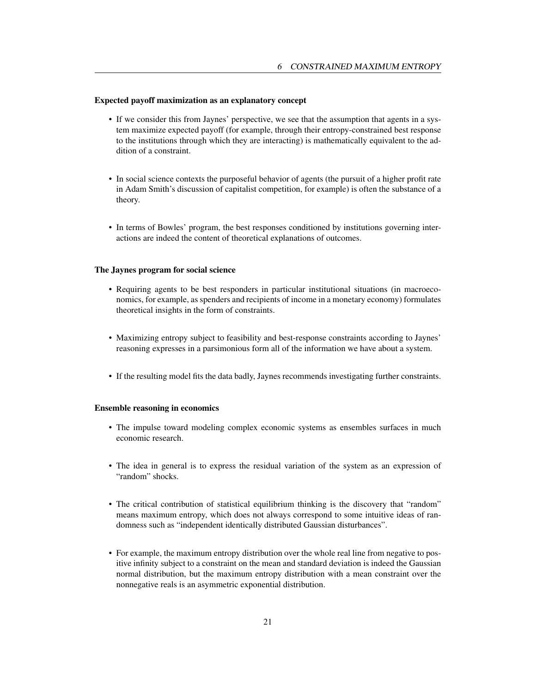# Expected payoff maximization as an explanatory concept

- If we consider this from Jaynes' perspective, we see that the assumption that agents in a system maximize expected payoff (for example, through their entropy-constrained best response to the institutions through which they are interacting) is mathematically equivalent to the addition of a constraint.
- In social science contexts the purposeful behavior of agents (the pursuit of a higher profit rate in Adam Smith's discussion of capitalist competition, for example) is often the substance of a theory.
- In terms of Bowles' program, the best responses conditioned by institutions governing interactions are indeed the content of theoretical explanations of outcomes.

# The Jaynes program for social science

- Requiring agents to be best responders in particular institutional situations (in macroeconomics, for example, as spenders and recipients of income in a monetary economy) formulates theoretical insights in the form of constraints.
- Maximizing entropy subject to feasibility and best-response constraints according to Jaynes' reasoning expresses in a parsimonious form all of the information we have about a system.
- If the resulting model fits the data badly, Jaynes recommends investigating further constraints.

#### Ensemble reasoning in economics

- The impulse toward modeling complex economic systems as ensembles surfaces in much economic research.
- The idea in general is to express the residual variation of the system as an expression of "random" shocks.
- The critical contribution of statistical equilibrium thinking is the discovery that "random" means maximum entropy, which does not always correspond to some intuitive ideas of randomness such as "independent identically distributed Gaussian disturbances".
- For example, the maximum entropy distribution over the whole real line from negative to positive infinity subject to a constraint on the mean and standard deviation is indeed the Gaussian normal distribution, but the maximum entropy distribution with a mean constraint over the nonnegative reals is an asymmetric exponential distribution.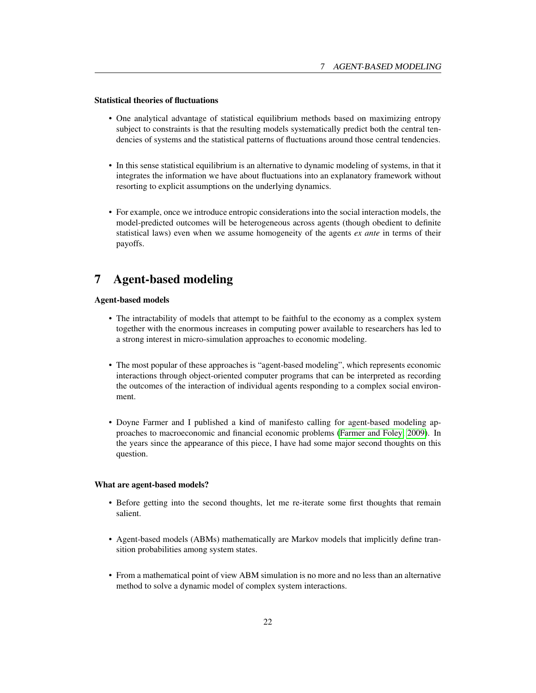# <span id="page-22-0"></span>Statistical theories of fluctuations

- One analytical advantage of statistical equilibrium methods based on maximizing entropy subject to constraints is that the resulting models systematically predict both the central tendencies of systems and the statistical patterns of fluctuations around those central tendencies.
- In this sense statistical equilibrium is an alternative to dynamic modeling of systems, in that it integrates the information we have about fluctuations into an explanatory framework without resorting to explicit assumptions on the underlying dynamics.
- For example, once we introduce entropic considerations into the social interaction models, the model-predicted outcomes will be heterogeneous across agents (though obedient to definite statistical laws) even when we assume homogeneity of the agents *ex ante* in terms of their payoffs.

# 7 Agent-based modeling

# Agent-based models

- The intractability of models that attempt to be faithful to the economy as a complex system together with the enormous increases in computing power available to researchers has led to a strong interest in micro-simulation approaches to economic modeling.
- The most popular of these approaches is "agent-based modeling", which represents economic interactions through object-oriented computer programs that can be interpreted as recording the outcomes of the interaction of individual agents responding to a complex social environment.
- Doyne Farmer and I published a kind of manifesto calling for agent-based modeling approaches to macroeconomic and financial economic problems [\(Farmer and Foley, 2009\)](#page-30-6). In the years since the appearance of this piece, I have had some major second thoughts on this question.

#### What are agent-based models?

- Before getting into the second thoughts, let me re-iterate some first thoughts that remain salient.
- Agent-based models (ABMs) mathematically are Markov models that implicitly define transition probabilities among system states.
- From a mathematical point of view ABM simulation is no more and no less than an alternative method to solve a dynamic model of complex system interactions.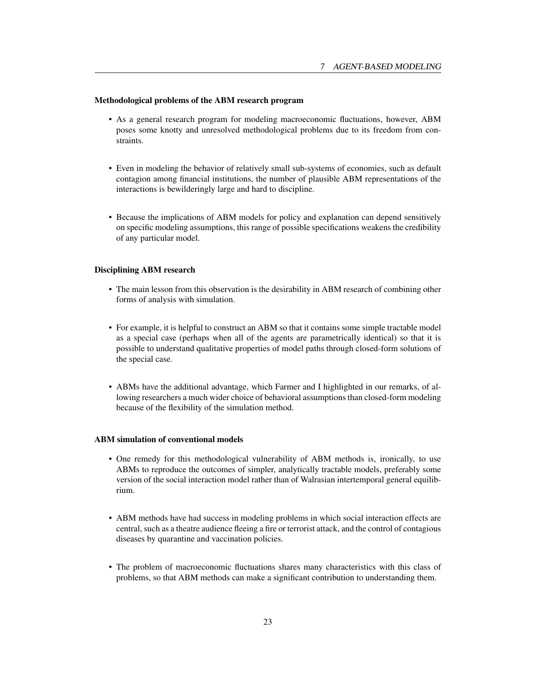#### Methodological problems of the ABM research program

- As a general research program for modeling macroeconomic fluctuations, however, ABM poses some knotty and unresolved methodological problems due to its freedom from constraints.
- Even in modeling the behavior of relatively small sub-systems of economies, such as default contagion among financial institutions, the number of plausible ABM representations of the interactions is bewilderingly large and hard to discipline.
- Because the implications of ABM models for policy and explanation can depend sensitively on specific modeling assumptions, this range of possible specifications weakens the credibility of any particular model.

#### Disciplining ABM research

- The main lesson from this observation is the desirability in ABM research of combining other forms of analysis with simulation.
- For example, it is helpful to construct an ABM so that it contains some simple tractable model as a special case (perhaps when all of the agents are parametrically identical) so that it is possible to understand qualitative properties of model paths through closed-form solutions of the special case.
- ABMs have the additional advantage, which Farmer and I highlighted in our remarks, of allowing researchers a much wider choice of behavioral assumptions than closed-form modeling because of the flexibility of the simulation method.

#### ABM simulation of conventional models

- One remedy for this methodological vulnerability of ABM methods is, ironically, to use ABMs to reproduce the outcomes of simpler, analytically tractable models, preferably some version of the social interaction model rather than of Walrasian intertemporal general equilibrium.
- ABM methods have had success in modeling problems in which social interaction effects are central, such as a theatre audience fleeing a fire or terrorist attack, and the control of contagious diseases by quarantine and vaccination policies.
- The problem of macroeconomic fluctuations shares many characteristics with this class of problems, so that ABM methods can make a significant contribution to understanding them.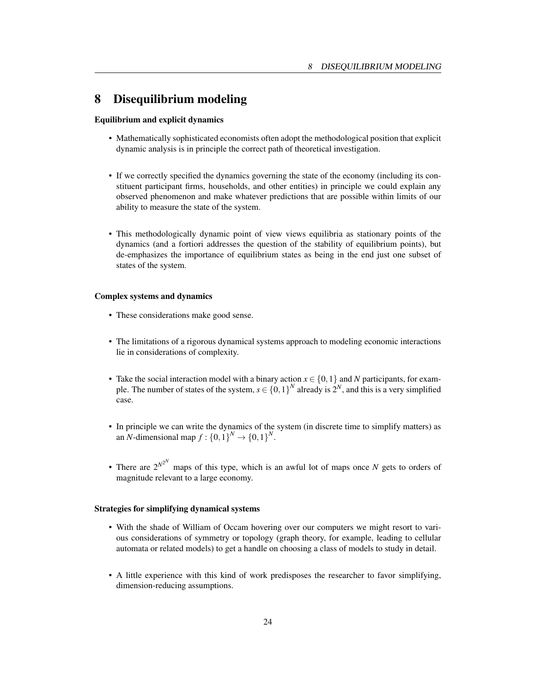# 8 Disequilibrium modeling

# Equilibrium and explicit dynamics

- Mathematically sophisticated economists often adopt the methodological position that explicit dynamic analysis is in principle the correct path of theoretical investigation.
- If we correctly specified the dynamics governing the state of the economy (including its constituent participant firms, households, and other entities) in principle we could explain any observed phenomenon and make whatever predictions that are possible within limits of our ability to measure the state of the system.
- This methodologically dynamic point of view views equilibria as stationary points of the dynamics (and a fortiori addresses the question of the stability of equilibrium points), but de-emphasizes the importance of equilibrium states as being in the end just one subset of states of the system.

# Complex systems and dynamics

- These considerations make good sense.
- The limitations of a rigorous dynamical systems approach to modeling economic interactions lie in considerations of complexity.
- Take the social interaction model with a binary action  $x \in \{0,1\}$  and *N* participants, for example. The number of states of the system,  $s \in \{0,1\}^N$  already is  $2^N$ , and this is a very simplified case.
- In principle we can write the dynamics of the system (in discrete time to simplify matters) as an *N*-dimensional map  $f: \{0,1\}^N \to \{0,1\}^N$ .
- There are  $2^{N^2}$  maps of this type, which is an awful lot of maps once *N* gets to orders of magnitude relevant to a large economy.

# Strategies for simplifying dynamical systems

- With the shade of William of Occam hovering over our computers we might resort to various considerations of symmetry or topology (graph theory, for example, leading to cellular automata or related models) to get a handle on choosing a class of models to study in detail.
- A little experience with this kind of work predisposes the researcher to favor simplifying, dimension-reducing assumptions.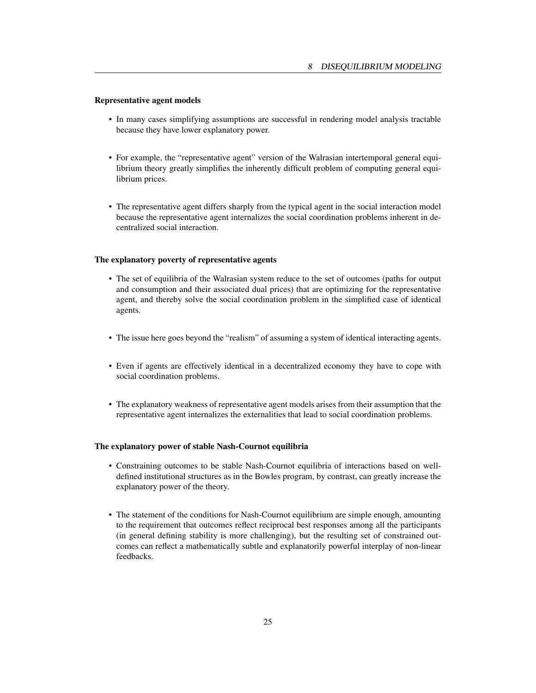# Representative agent models

- In many cases simplifying assumptions are successful in rendering model analysis tractable because they have lower explanatory power.
- For example, the "representative agent" version of the Walrasian intertemporal general equilibrium theory greatly simplifies the inherently difficult problem of computing general equilibrium prices.
- The representative agent differs sharply from the typical agent in the social interaction model because the representative agent internalizes the social coordination problems inherent in decentralized social interaction.

# The explanatory poverty of representative agents

- The set of equilibria of the Walrasian system reduce to the set of outcomes (paths for output and consumption and their associated dual prices) that are optimizing for the representative agent, and thereby solve the social coordination problem in the simplified case of identical agents.
- The issue here goes beyond the "realism" of assuming a system of identical interacting agents.
- Even if agents are effectively identical in a decentralized economy they have to cope with social coordination problems.
- The explanatory weakness of representative agent models arises from their assumption that the representative agent internalizes the externalities that lead to social coordination problems.

# The explanatory power of stable Nash-Cournot equilibria

- Constraining outcomes to be stable Nash-Cournot equilibria of interactions based on welldefined institutional structures as in the Bowles program, by contrast, can greatly increase the explanatory power of the theory.
- The statement of the conditions for Nash-Cournot equilibrium are simple enough, amounting to the requirement that outcomes reflect reciprocal best responses among all the participants (in general defining stability is more challenging), but the resulting set of constrained outcomes can reflect a mathematically subtle and explanatorily powerful interplay of non-linear feedbacks.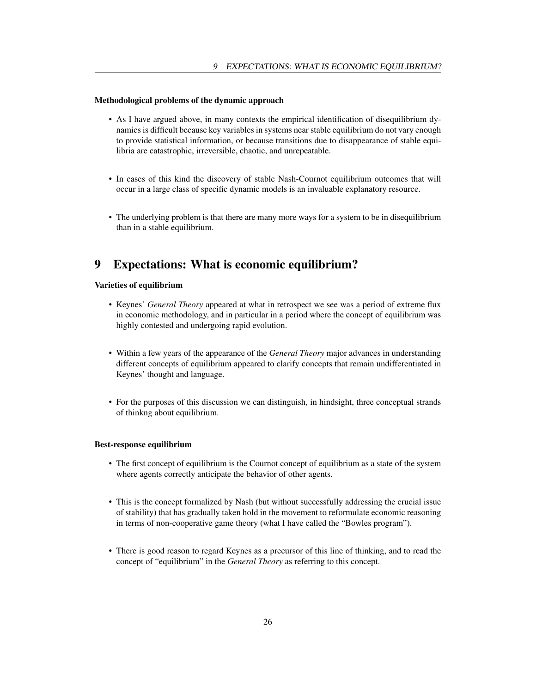# Methodological problems of the dynamic approach

- As I have argued above, in many contexts the empirical identification of disequilibrium dynamics is difficult because key variables in systems near stable equilibrium do not vary enough to provide statistical information, or because transitions due to disappearance of stable equilibria are catastrophic, irreversible, chaotic, and unrepeatable.
- In cases of this kind the discovery of stable Nash-Cournot equilibrium outcomes that will occur in a large class of specific dynamic models is an invaluable explanatory resource.
- The underlying problem is that there are many more ways for a system to be in disequilibrium than in a stable equilibrium.

# 9 Expectations: What is economic equilibrium?

# Varieties of equilibrium

- Keynes' *General Theory* appeared at what in retrospect we see was a period of extreme flux in economic methodology, and in particular in a period where the concept of equilibrium was highly contested and undergoing rapid evolution.
- Within a few years of the appearance of the *General Theory* major advances in understanding different concepts of equilibrium appeared to clarify concepts that remain undifferentiated in Keynes' thought and language.
- For the purposes of this discussion we can distinguish, in hindsight, three conceptual strands of thinkng about equilibrium.

#### Best-response equilibrium

- The first concept of equilibrium is the Cournot concept of equilibrium as a state of the system where agents correctly anticipate the behavior of other agents.
- This is the concept formalized by Nash (but without successfully addressing the crucial issue of stability) that has gradually taken hold in the movement to reformulate economic reasoning in terms of non-cooperative game theory (what I have called the "Bowles program").
- There is good reason to regard Keynes as a precursor of this line of thinking, and to read the concept of "equilibrium" in the *General Theory* as referring to this concept.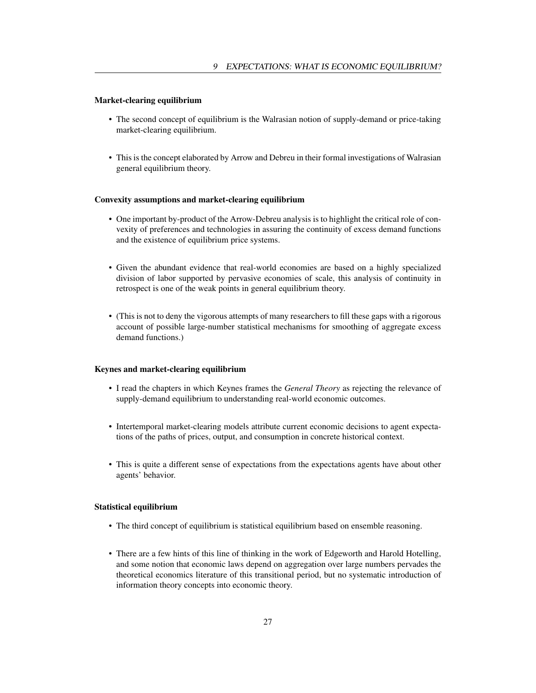# Market-clearing equilibrium

- The second concept of equilibrium is the Walrasian notion of supply-demand or price-taking market-clearing equilibrium.
- This is the concept elaborated by Arrow and Debreu in their formal investigations of Walrasian general equilibrium theory.

#### Convexity assumptions and market-clearing equilibrium

- One important by-product of the Arrow-Debreu analysis is to highlight the critical role of convexity of preferences and technologies in assuring the continuity of excess demand functions and the existence of equilibrium price systems.
- Given the abundant evidence that real-world economies are based on a highly specialized division of labor supported by pervasive economies of scale, this analysis of continuity in retrospect is one of the weak points in general equilibrium theory.
- (This is not to deny the vigorous attempts of many researchers to fill these gaps with a rigorous account of possible large-number statistical mechanisms for smoothing of aggregate excess demand functions.)

# Keynes and market-clearing equilibrium

- I read the chapters in which Keynes frames the *General Theory* as rejecting the relevance of supply-demand equilibrium to understanding real-world economic outcomes.
- Intertemporal market-clearing models attribute current economic decisions to agent expectations of the paths of prices, output, and consumption in concrete historical context.
- This is quite a different sense of expectations from the expectations agents have about other agents' behavior.

## Statistical equilibrium

- The third concept of equilibrium is statistical equilibrium based on ensemble reasoning.
- There are a few hints of this line of thinking in the work of Edgeworth and Harold Hotelling, and some notion that economic laws depend on aggregation over large numbers pervades the theoretical economics literature of this transitional period, but no systematic introduction of information theory concepts into economic theory.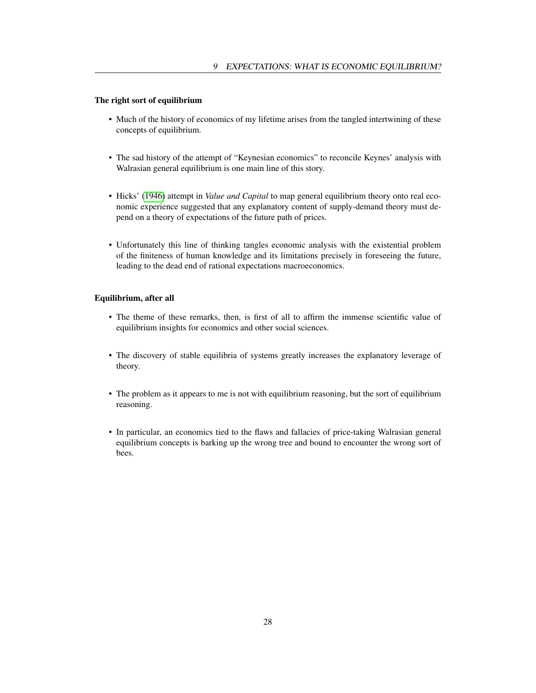# <span id="page-28-0"></span>The right sort of equilibrium

- Much of the history of economics of my lifetime arises from the tangled intertwining of these concepts of equilibrium.
- The sad history of the attempt of "Keynesian economics" to reconcile Keynes' analysis with Walrasian general equilibrium is one main line of this story.
- Hicks' [\(1946\)](#page-30-7) attempt in *Value and Capital* to map general equilibrium theory onto real economic experience suggested that any explanatory content of supply-demand theory must depend on a theory of expectations of the future path of prices.
- Unfortunately this line of thinking tangles economic analysis with the existential problem of the finiteness of human knowledge and its limitations precisely in foreseeing the future, leading to the dead end of rational expectations macroeconomics.

# Equilibrium, after all

- The theme of these remarks, then, is first of all to affirm the immense scientific value of equilibrium insights for economics and other social sciences.
- The discovery of stable equilibria of systems greatly increases the explanatory leverage of theory.
- The problem as it appears to me is not with equilibrium reasoning, but the sort of equilibrium reasoning.
- In particular, an economics tied to the flaws and fallacies of price-taking Walrasian general equilibrium concepts is barking up the wrong tree and bound to encounter the wrong sort of bees.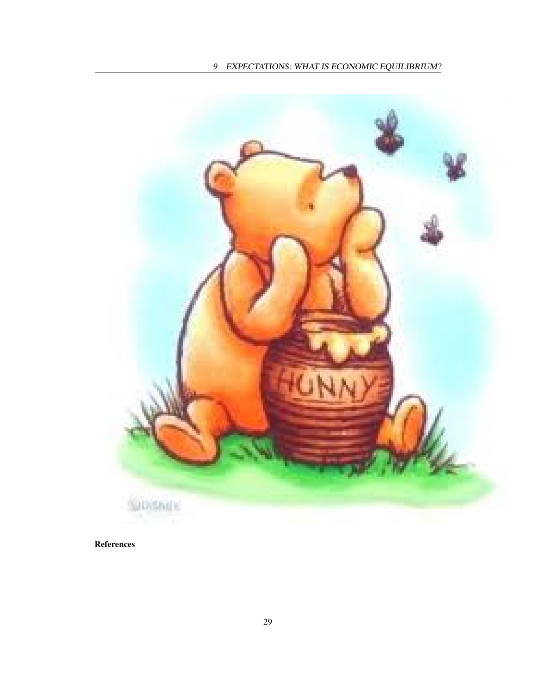

References